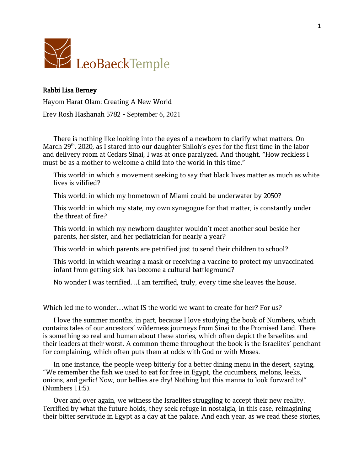

## Rabbi Lisa Berney

Hayom Harat Olam: Creating A New World

Erev Rosh Hashanah 5782 - September 6, 2021

There is nothing like looking into the eyes of a newborn to clarify what matters. On March 29<sup>th</sup>, 2020, as I stared into our daughter Shiloh's eyes for the first time in the labor and delivery room at Cedars Sinai, I was at once paralyzed. And thought, "How reckless I must be as a mother to welcome a child into the world in this time."

This world: in which a movement seeking to say that black lives matter as much as white lives is vilified?

This world: in which my hometown of Miami could be underwater by 2050?

This world: in which my state, my own synagogue for that matter, is constantly under the threat of fire?

This world: in which my newborn daughter wouldn't meet another soul beside her parents, her sister, and her pediatrician for nearly a year?

This world: in which parents are petrified just to send their children to school?

This world: in which wearing a mask or receiving a vaccine to protect my unvaccinated infant from getting sick has become a cultural battleground?

No wonder I was terrified…I am terrified, truly, every time she leaves the house.

Which led me to wonder...what IS the world we want to create for her? For us?

I love the summer months, in part, because I love studying the book of Numbers, which contains tales of our ancestors' wilderness journeys from Sinai to the Promised Land. There is something so real and human about these stories, which often depict the Israelites and their leaders at their worst. A common theme throughout the book is the Israelites' penchant for complaining, which often puts them at odds with God or with Moses.

In one instance, the people weep bitterly for a better dining menu in the desert, saying, "We remember the fish we used to eat for free in Egypt, the cucumbers, melons, leeks, onions, and garlic! Now, our bellies are dry! Nothing but this manna to look forward to!" (Numbers 11:5).

Over and over again, we witness the Israelites struggling to accept their new reality. Terrified by what the future holds, they seek refuge in nostalgia, in this case, reimagining their bitter servitude in Egypt as a day at the palace. And each year, as we read these stories,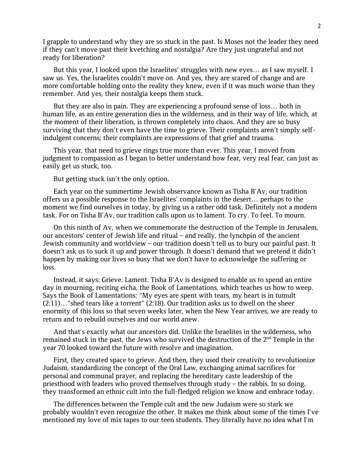I grapple to understand why they are so stuck in the past. Is Moses not the leader they need if they can't move past their kvetching and nostalgia? Are they just ungrateful and not ready for liberation?

But this year, I looked upon the Israelites' struggles with new eyes… as I saw myself. I saw us. Yes, the Israelites couldn't move on. And yes, they are scared of change and are more comfortable holding onto the reality they knew, even if it was much worse than they remember. And yes, their nostalgia keeps them stuck.

But they are also in pain. They are experiencing a profound sense of loss… both in human life, as an entire generation dies in the wilderness, and in their way of life, which, at the moment of their liberation, is thrown completely into chaos. And they are so busy surviving that they don't even have the time to grieve. Their complaints aren't simply selfindulgent concerns; their complaints are expressions of that grief and trauma.

This year, that need to grieve rings true more than ever. This year, I moved from judgment to compassion as I began to better understand how fear, very real fear, can just as easily get us stuck, too.

But getting stuck isn't the only option.

Each year on the summertime Jewish observance known as Tisha B'Av, our tradition offers us a possible response to the Israelites' complaints in the desert… perhaps to the moment we find ourselves in today, by giving us a rather odd task. Definitely not a modern task. For on Tisha B'Av, our tradition calls upon us to lament. To cry. To feel. To mourn.

On this ninth of Av, when we commemorate the destruction of the Temple in Jerusalem, our ancestors' center of Jewish life and ritual – and really, the lynchpin of the ancient Jewish community and worldview – our tradition doesn't tell us to bury our painful past. It doesn't ask us to suck it up and power through. It doesn't demand that we pretend it didn't happen by making our lives so busy that we don't have to acknowledge the suffering or loss.

Instead, it says: Grieve. Lament. Tisha B'Av is designed to enable us to spend an entire day in mourning, reciting eicha, the Book of Lamentations, which teaches us how to weep. Says the Book of Lamentations: "My eyes are spent with tears, my heart is in tumult (2:11)…"shed tears like a torrent" (2:18). Our tradition asks us to dwell on the sheer enormity of this loss so that seven weeks later, when the New Year arrives, we are ready to return and to rebuild ourselves and our world anew.

And that's exactly what our ancestors did. Unlike the Israelites in the wilderness, who remained stuck in the past, the Jews who survived the destruction of the 2<sup>nd</sup> Temple in the year 70 looked toward the future with resolve and imagination.

First, they created space to grieve. And then, they used their creativity to revolutionize Judaism, standardizing the concept of the Oral Law, exchanging animal sacrifices for personal and communal prayer, and replacing the hereditary caste leadership of the priesthood with leaders who proved themselves through study – the rabbis. In so doing, they transformed an ethnic cult into the full-fledged religion we know and embrace today.

The differences between the Temple cult and the new Judaism were so stark we probably wouldn't even recognize the other. It makes me think about some of the times I've mentioned my love of mix tapes to our teen students. They literally have no idea what I'm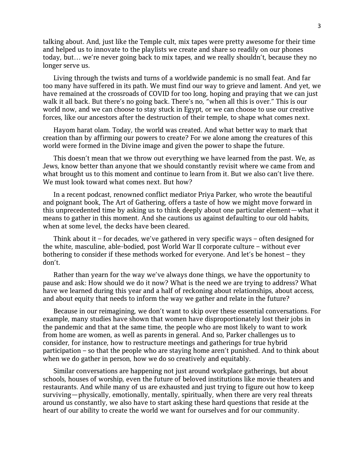talking about. And, just like the Temple cult, mix tapes were pretty awesome for their time and helped us to innovate to the playlists we create and share so readily on our phones today, but… we're never going back to mix tapes, and we really shouldn't, because they no longer serve us.

Living through the twists and turns of a worldwide pandemic is no small feat. And far too many have suffered in its path. We must find our way to grieve and lament. And yet, we have remained at the crossroads of COVID for too long, hoping and praying that we can just walk it all back. But there's no going back. There's no, "when all this is over." This is our world now, and we can choose to stay stuck in Egypt, or we can choose to use our creative forces, like our ancestors after the destruction of their temple, to shape what comes next.

Hayom harat olam. Today, the world was created. And what better way to mark that creation than by affirming our powers to create? For we alone among the creatures of this world were formed in the Divine image and given the power to shape the future.

This doesn't mean that we throw out everything we have learned from the past. We, as Jews, know better than anyone that we should constantly revisit where we came from and what brought us to this moment and continue to learn from it. But we also can't live there. We must look toward what comes next. But how?

In a recent podcast, renowned conflict mediator Priya Parker, who wrote the beautiful and poignant book, The Art of Gathering, offers a taste of how we might move forward in this unprecedented time by asking us to think deeply about one particular element—what it means to gather in this moment. And she cautions us against defaulting to our old habits, when at some level, the decks have been cleared.

Think about it – for decades, we've gathered in very specific ways – often designed for the white, masculine, able-bodied, post World War II corporate culture – without ever bothering to consider if these methods worked for everyone. And let's be honest – they don't.

Rather than yearn for the way we've always done things, we have the opportunity to pause and ask: How should we do it now? What is the need we are trying to address? What have we learned during this year and a half of reckoning about relationships, about access, and about equity that needs to inform the way we gather and relate in the future?

Because in our reimagining, we don't want to skip over these essential conversations. For example, many studies have shown that women have disproportionately lost their jobs in the pandemic and that at the same time, the people who are most likely to want to work from home are women, as well as parents in general. And so, Parker challenges us to consider, for instance, how to restructure meetings and gatherings for true hybrid participation – so that the people who are staying home aren't punished. And to think about when we do gather in person, how we do so creatively and equitably.

Similar conversations are happening not just around workplace gatherings, but about schools, houses of worship, even the future of beloved institutions like movie theaters and restaurants. And while many of us are exhausted and just trying to figure out how to keep surviving—physically, emotionally, mentally, spiritually, when there are very real threats around us constantly, we also have to start asking these hard questions that reside at the heart of our ability to create the world we want for ourselves and for our community.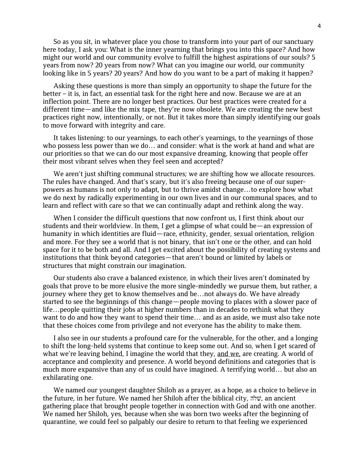So as you sit, in whatever place you chose to transform into your part of our sanctuary here today, I ask you: What is the inner yearning that brings you into this space? And how might our world and our community evolve to fulfill the highest aspirations of our souls? 5 years from now? 20 years from now? What can you imagine our world, our community looking like in 5 years? 20 years? And how do you want to be a part of making it happen?

Asking these questions is more than simply an opportunity to shape the future for the better – it is, in fact, an essential task for the right here and now. Because we are at an inflection point. There are no longer best practices. Our best practices were created for a different time—and like the mix tape, they're now obsolete. We are creating the new best practices right now, intentionally, or not. But it takes more than simply identifying our goals to move forward with integrity and care.

It takes listening: to our yearnings, to each other's yearnings, to the yearnings of those who possess less power than we do… and consider: what is the work at hand and what are our priorities so that we can do our most expansive dreaming, knowing that people offer their most vibrant selves when they feel seen and accepted?

We aren't just shifting communal structures; we are shifting how we allocate resources. The rules have changed. And that's scary, but it's also freeing because one of our superpowers as humans is not only to adapt, but to thrive amidst change…to explore how what we do next by radically experimenting in our own lives and in our communal spaces, and to learn and reflect with care so that we can continually adapt and rethink along the way.

When I consider the difficult questions that now confront us, I first think about our students and their worldview. In them, I get a glimpse of what could be—an expression of humanity in which identities are fluid—race, ethnicity, gender, sexual orientation, religion and more. For they see a world that is not binary, that isn't one or the other, and can hold space for it to be both and all. And I get excited about the possibility of creating systems and institutions that think beyond categories—that aren't bound or limited by labels or structures that might constrain our imagination.

Our students also crave a balanced existence, in which their lives aren't dominated by goals that prove to be more elusive the more single-mindedly we pursue them, but rather, a journey where they get to know themselves and be…not always do. We have already started to see the beginnings of this change—people moving to places with a slower pace of life…people quitting their jobs at higher numbers than in decades to rethink what they want to do and how they want to spend their time… and as an aside, we must also take note that these choices come from privilege and not everyone has the ability to make them.

I also see in our students a profound care for the vulnerable, for the other, and a longing to shift the long-held systems that continue to keep some out. And so, when I get scared of what we're leaving behind, I imagine the world that they, and we, are creating. A world of acceptance and complexity and presence. A world beyond definitions and categories that is much more expansive than any of us could have imagined. A terrifying world… but also an exhilarating one.

We named our youngest daughter Shiloh as a prayer, as a hope, as a choice to believe in the future, in her future. We named her Shiloh after the biblical city, שֵׂלה, an ancient gathering place that brought people together in connection with God and with one another. We named her Shiloh, yes, because when she was born two weeks after the beginning of quarantine, we could feel so palpably our desire to return to that feeling we experienced